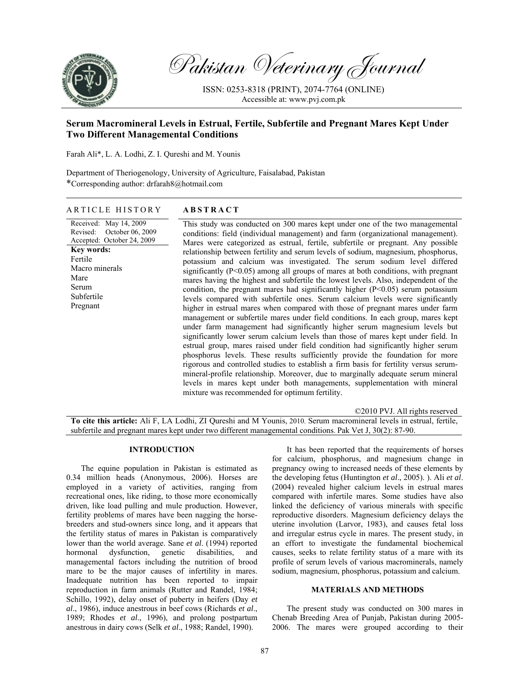

Pakistan Veterinary Journal

ISSN: 0253-8318 (PRINT), 2074-7764 (ONLINE) Accessible at: www.pvj.com.pk

# **Serum Macromineral Levels in Estrual, Fertile, Subfertile and Pregnant Mares Kept Under Two Different Managemental Conditions**

Farah Ali\*, L. A. Lodhi, Z. I. Qureshi and M. Younis

Department of Theriogenology, University of Agriculture, Faisalabad, Pakistan \*Corresponding author: drfarah8@hotmail.com

# ARTICLE HISTORY **ABSTRACT**

Received: May 14, 2009 Revised: October 06, 2009 Accepted: October 24, 2009 **Key words:**  Fertile Macro minerals Mare Serum Subfertile Pregnant

This study was conducted on 300 mares kept under one of the two managemental conditions: field (individual management) and farm (organizational management). Mares were categorized as estrual, fertile, subfertile or pregnant. Any possible relationship between fertility and serum levels of sodium, magnesium, phosphorus, potassium and calcium was investigated. The serum sodium level differed significantly  $(P<0.05)$  among all groups of mares at both conditions, with pregnant mares having the highest and subfertile the lowest levels. Also, independent of the condition, the pregnant mares had significantly higher  $(P<0.05)$  serum potassium levels compared with subfertile ones. Serum calcium levels were significantly higher in estrual mares when compared with those of pregnant mares under farm management or subfertile mares under field conditions. In each group, mares kept under farm management had significantly higher serum magnesium levels but significantly lower serum calcium levels than those of mares kept under field. In estrual group, mares raised under field condition had significantly higher serum phosphorus levels. These results sufficiently provide the foundation for more rigorous and controlled studies to establish a firm basis for fertility versus serummineral-profile relationship. Moreover, due to marginally adequate serum mineral levels in mares kept under both managements, supplementation with mineral mixture was recommended for optimum fertility.

©2010 PVJ. All rights reserved

**To cite this article:** Ali F, LA Lodhi, ZI Qureshi and M Younis, 2010. Serum macromineral levels in estrual, fertile, subfertile and pregnant mares kept under two different managemental conditions. Pak Vet J, 30(2): 87-90.

### **INTRODUCTION**

The equine population in Pakistan is estimated as 0.34 million heads (Anonymous, 2006). Horses are employed in a variety of activities, ranging from recreational ones, like riding, to those more economically driven, like load pulling and mule production. However, fertility problems of mares have been nagging the horsebreeders and stud-owners since long, and it appears that the fertility status of mares in Pakistan is comparatively lower than the world average. Sane *et al*. (1994) reported hormonal dysfunction, genetic disabilities, and managemental factors including the nutrition of brood mare to be the major causes of infertility in mares. Inadequate nutrition has been reported to impair reproduction in farm animals (Rutter and Randel, 1984; Schillo, 1992), delay onset of puberty in heifers (Day *et al*., 1986), induce anestrous in beef cows (Richards *et al*., 1989; Rhodes *et al*., 1996), and prolong postpartum anestrous in dairy cows (Selk *et al*., 1988; Randel, 1990).

It has been reported that the requirements of horses for calcium, phosphorus, and magnesium change in pregnancy owing to increased needs of these elements by the developing fetus (Huntington *et al*., 2005). ). Ali *et al*. (2004) revealed higher calcium levels in estrual mares compared with infertile mares. Some studies have also linked the deficiency of various minerals with specific reproductive disorders. Magnesium deficiency delays the uterine involution (Larvor, 1983), and causes fetal loss and irregular estrus cycle in mares. The present study, in an effort to investigate the fundamental biochemical causes, seeks to relate fertility status of a mare with its profile of serum levels of various macrominerals, namely sodium, magnesium, phosphorus, potassium and calcium.

# **MATERIALS AND METHODS**

The present study was conducted on 300 mares in Chenab Breeding Area of Punjab, Pakistan during 2005- 2006. The mares were grouped according to their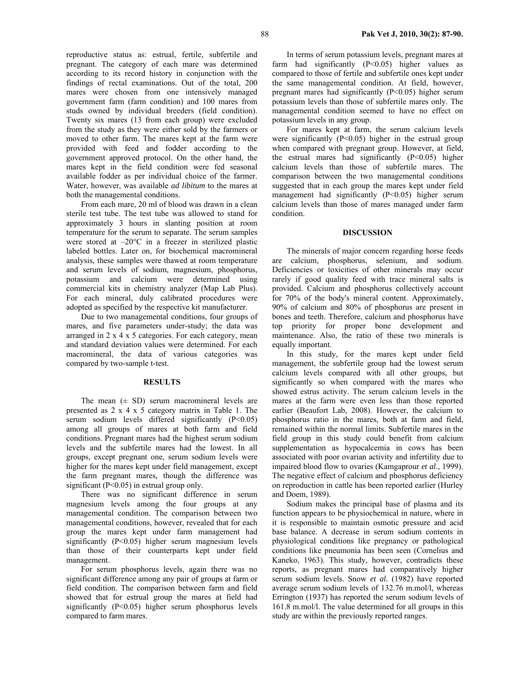reproductive status as: estrual, fertile, subfertile and pregnant. The category of each mare was determined according to its record history in conjunction with the findings of rectal examinations. Out of the total, 200 mares were chosen from one intensively managed government farm (farm condition) and 100 mares from studs owned by individual breeders (field condition). Twenty six mares (13 from each group) were excluded from the study as they were either sold by the farmers or moved to other farm. The mares kept at the farm were provided with feed and fodder according to the government approved protocol. On the other hand, the mares kept in the field condition were fed seasonal available fodder as per individual choice of the farmer. Water, however, was available *ad libitum* to the mares at both the managemental conditions.

From each mare, 20 ml of blood was drawn in a clean sterile test tube. The test tube was allowed to stand for approximately 3 hours in slanting position at room temperature for the serum to separate. The serum samples were stored at –20°C in a freezer in sterilized plastic labeled bottles. Later on, for biochemical macromineral analysis, these samples were thawed at room temperature and serum levels of sodium, magnesium, phosphorus, potassium and calcium were determined using commercial kits in chemistry analyzer (Map Lab Plus). For each mineral, duly calibrated procedures were adopted as specified by the respective kit manufacturer.

Due to two managemental conditions, four groups of mares, and five parameters under-study; the data was arranged in 2 x 4 x 5 categories. For each category, mean and standard deviation values were determined. For each macromineral, the data of various categories was compared by two-sample t-test.

#### **RESULTS**

The mean  $(\pm SD)$  serum macromineral levels are presented as 2 x 4 x 5 category matrix in Table 1. The serum sodium levels differed significantly (P<0.05) among all groups of mares at both farm and field conditions. Pregnant mares had the highest serum sodium levels and the subfertile mares had the lowest. In all groups, except pregnant one, serum sodium levels were higher for the mares kept under field management, except the farm pregnant mares, though the difference was significant (P<0.05) in estrual group only.

There was no significant difference in serum magnesium levels among the four groups at any managemental condition. The comparison between two managemental conditions, however, revealed that for each group the mares kept under farm management had significantly (P<0.05) higher serum magnesium levels than those of their counterparts kept under field management.

For serum phosphorus levels, again there was no significant difference among any pair of groups at farm or field condition. The comparison between farm and field showed that for estrual group the mares at field had significantly (P<0.05) higher serum phosphorus levels compared to farm mares.

In terms of serum potassium levels, pregnant mares at farm had significantly  $(P<0.05)$  higher values as compared to those of fertile and subfertile ones kept under the same managemental condition. At field, however, pregnant mares had significantly (P<0.05) higher serum potassium levels than those of subfertile mares only. The managemental condition seemed to have no effect on potassium levels in any group.

For mares kept at farm, the serum calcium levels were significantly  $(P<0.05)$  higher in the estrual group when compared with pregnant group. However, at field, the estrual mares had significantly  $(P<0.05)$  higher calcium levels than those of subfertile mares. The comparison between the two managemental conditions suggested that in each group the mares kept under field management had significantly (P<0.05) higher serum calcium levels than those of mares managed under farm condition.

# **DISCUSSION**

The minerals of major concern regarding horse feeds are calcium, phosphorus, selenium, and sodium. Deficiencies or toxicities of other minerals may occur rarely if good quality feed with trace mineral salts is provided. Calcium and phosphorus collectively account for 70% of the body's mineral content. Approximately, 90% of calcium and 80% of phosphorus are present in bones and teeth. Therefore, calcium and phosphorus have top priority for proper bone development and maintenance. Also, the ratio of these two minerals is equally important.

In this study, for the mares kept under field management, the subfertile group had the lowest serum calcium levels compared with all other groups, but significantly so when compared with the mares who showed estrus activity. The serum calcium levels in the mares at the farm were even less than those reported earlier (Beaufort Lab, 2008). However, the calcium to phosphorus ratio in the mares, both at farm and field, remained within the normal limits. Subfertile mares in the field group in this study could benefit from calcium supplementation as hypocalcemia in cows has been associated with poor ovarian activity and infertility due to impaired blood flow to ovaries (Kamgaprour *et al*., 1999). The negative effect of calcium and phosphorus deficiency on reproduction in cattle has been reported earlier (Hurley and Doem, 1989).

Sodium makes the principal base of plasma and its function appears to be physiochemical in nature, where in it is responsible to maintain osmotic pressure and acid base balance. A decrease in serum sodium contents in physiological conditions like pregnancy or pathological conditions like pneumonia has been seen (Cornelius and Kaneko, 1963). This study, however, contradicts these reports, as pregnant mares had comparatively higher serum sodium levels. Snow *et al.* (1982) have reported average serum sodium levels of 132.76 m.mol/l, whereas Errington (1937) has reported the serum sodium levels of 161.8 m.mol/l. The value determined for all groups in this study are within the previously reported ranges.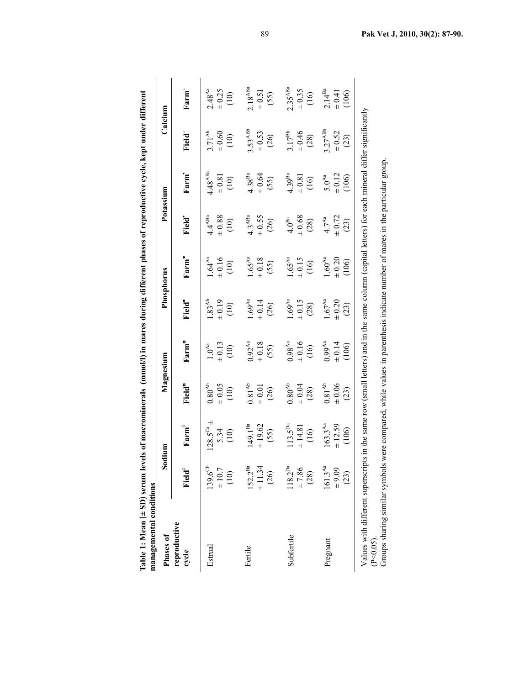| Phases of                                                                                                                                                                                                                                                                                       |                                             | Sodium                                         |                                            | Magnesium                          |                                            | Phosphorus                                  |                                         | Potassium                                   | Calcium                                   |                                    |
|-------------------------------------------------------------------------------------------------------------------------------------------------------------------------------------------------------------------------------------------------------------------------------------------------|---------------------------------------------|------------------------------------------------|--------------------------------------------|------------------------------------|--------------------------------------------|---------------------------------------------|-----------------------------------------|---------------------------------------------|-------------------------------------------|------------------------------------|
| reproductive<br>cycle                                                                                                                                                                                                                                                                           | Field®                                      | ${\bf Farm}^\diamond$                          | <b>Field<sup>e</sup></b>                   | Farm <sup>"</sup>                  | Field <sup>•</sup>                         | Farm <sup>•</sup>                           | <b>Field</b>                            | Farm <sup>1</sup>                           | Field <sup>o</sup>                        | $Farm^{\circ}$                     |
| Estrual                                                                                                                                                                                                                                                                                         | $139.6^{Cb}$<br>$\pm$ 10.7<br>$\widehat{=}$ | $\pm$<br>$128.5^{Ca}$<br>5.34<br>$\frac{1}{2}$ | $0.80^{\mathrm{Ab}}$<br>60.05<br>(10)      | $+0.13$<br>$0.0^{Aa}$<br>(10)      | $1.83^{Ab}$<br>$+0.19$<br>(10)             | $1.64^{Aa}$<br>$+0.16$<br>(10)              | $4.4^{ABa}$<br>$\pm$ 0.88<br>(10)       | $4.48^{\mathrm{ABa}}$<br>$\pm 0.81$<br>(10) | $3.71^{Ab}$<br>$\pm$ 0.60<br>(10)         | $2.48^{Aa}$<br>$\pm 0.25$<br>(10)  |
| Fertile                                                                                                                                                                                                                                                                                         | $152.2^{Ba}$<br>± 11.34<br>$\widehat{26}$   | $[49.1^{Ba}$<br>± 19.62<br>(55)                | $0.81^{\mathrm{Ab}}$<br>$\pm 0.01$<br>(26) | $0.92^{Aa}$<br>$+0.18$<br>(55)     | $1.69^{\mathrm{Aa}}$<br>$\pm 0.14$<br>(26) | $1.65^{Aa}$<br>$\pm$ 0.18<br>(55)           | $4.3^{ABa}$<br>$\pm 0.55$<br>(26)       | $4.38^{Ba}$<br>$+0.64$<br>(55)              | 3.53 <sup>ABb</sup><br>$\pm$ 0.53<br>(26) | $2.18^{ABa}$<br>$\pm$ 0.51<br>(55) |
| Subfertile                                                                                                                                                                                                                                                                                      | $118.2^{Da}$<br>± 7.86<br>(28)              | $113.5^{Da}$<br>± 14.81<br>(16)                | $0.80^{Ab}$<br>$+0.04$<br>(28)             | $0.98^{Aa}$<br>$+0.16$<br>(16)     | $1.69^{\mathrm{Aa}}$<br>$\pm 0.15$<br>(28) | $1.65^{Aa}$<br>± 0.15<br>(16)               | $\pm$ 0.68<br>$4.0^{Ba}$<br>(28)        | 4.39 <sup>Ba</sup><br>$\pm 0.81$<br>(16)    | $17^{Bb}$<br>± 0.46<br>(28)               | $2.35^{ABa}$<br>$\pm$ 0.35<br>(16) |
| Pregnant                                                                                                                                                                                                                                                                                        | $161.3^{Aa}$<br>$60.6 +$<br>(23)            | $163.3^{Aa}$<br>$\pm 12.59$<br>(106)           | $0.81^{\mathrm{Ab}}$<br>$\pm 0.06$<br>(23) | $0.99^{Aa}$<br>$\pm 0.14$<br>(106) | $1.67^{\mathrm{Aa}}$<br>$\pm 0.20$<br>(23) | $1.60^{\mathrm{Aa}}$<br>$\pm 0.20$<br>(106) | $\pm 0.72$<br>$4.7^{\text{Aa}}$<br>(23) | $\pm 0.12$<br>$5.0^{Aa}$<br>(106)           | $3.27^{ABb}$<br>$\pm 0.52$<br>(23)        | $2.14^{Ba}$<br>$+ 0.41$<br>(106)   |
| Values with different superscripts in the same row (small letters) and in the same column (capital letters) for each mineral differ significantly<br>Groups sharing similar symbols were compared, while values in parenthesis indicate number of mares in the particular group<br>$(P<0.05)$ . |                                             |                                                |                                            |                                    |                                            |                                             |                                         |                                             |                                           |                                    |